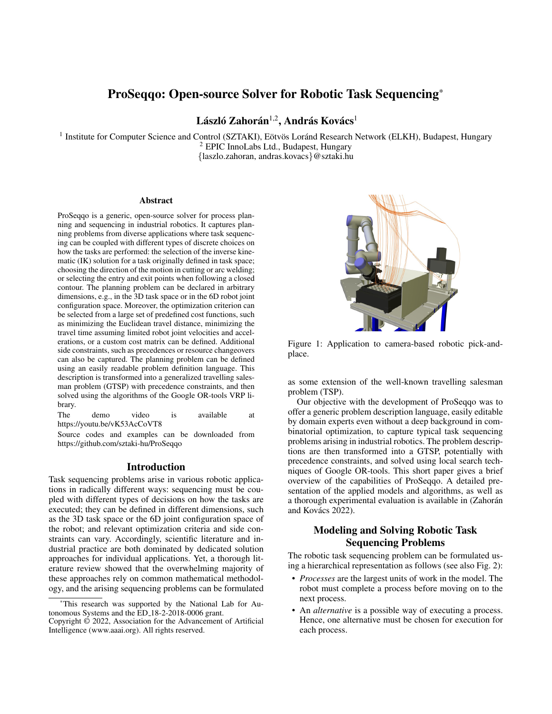# ProSeqqo: Open-source Solver for Robotic Task Sequencing\*

László Zahorán $^{1,2}$ , András Kovács $^1$ 

<sup>1</sup> Institute for Computer Science and Control (SZTAKI), Eötvös Loránd Research Network (ELKH), Budapest, Hungary <sup>2</sup> EPIC InnoLabs Ltd., Budapest, Hungary {laszlo.zahoran, andras.kovacs}@sztaki.hu

### Abstract

ProSeqqo is a generic, open-source solver for process planning and sequencing in industrial robotics. It captures planning problems from diverse applications where task sequencing can be coupled with different types of discrete choices on how the tasks are performed: the selection of the inverse kinematic (IK) solution for a task originally defined in task space; choosing the direction of the motion in cutting or arc welding; or selecting the entry and exit points when following a closed contour. The planning problem can be declared in arbitrary dimensions, e.g., in the 3D task space or in the 6D robot joint configuration space. Moreover, the optimization criterion can be selected from a large set of predefined cost functions, such as minimizing the Euclidean travel distance, minimizing the travel time assuming limited robot joint velocities and accelerations, or a custom cost matrix can be defined. Additional side constraints, such as precedences or resource changeovers can also be captured. The planning problem can be defined using an easily readable problem definition language. This description is transformed into a generalized travelling salesman problem (GTSP) with precedence constraints, and then solved using the algorithms of the Google OR-tools VRP library.

The demo video is available at https://youtu.be/vK53AcCoVT8

Source codes and examples can be downloaded from https://github.com/sztaki-hu/ProSeqqo

### Introduction

Task sequencing problems arise in various robotic applications in radically different ways: sequencing must be coupled with different types of decisions on how the tasks are executed; they can be defined in different dimensions, such as the 3D task space or the 6D joint configuration space of the robot; and relevant optimization criteria and side constraints can vary. Accordingly, scientific literature and industrial practice are both dominated by dedicated solution approaches for individual applications. Yet, a thorough literature review showed that the overwhelming majority of these approaches rely on common mathematical methodology, and the arising sequencing problems can be formulated



Figure 1: Application to camera-based robotic pick-andplace.

as some extension of the well-known travelling salesman problem (TSP).

Our objective with the development of ProSeqqo was to offer a generic problem description language, easily editable by domain experts even without a deep background in combinatorial optimization, to capture typical task sequencing problems arising in industrial robotics. The problem descriptions are then transformed into a GTSP, potentially with precedence constraints, and solved using local search techniques of Google OR-tools. This short paper gives a brief overview of the capabilities of ProSeqqo. A detailed presentation of the applied models and algorithms, as well as a thorough experimental evaluation is available in (Zahorán and Kovács  $2022$ ).

## Modeling and Solving Robotic Task Sequencing Problems

The robotic task sequencing problem can be formulated using a hierarchical representation as follows (see also Fig. 2):

- *Processes* are the largest units of work in the model. The robot must complete a process before moving on to the next process.
- An *alternative* is a possible way of executing a process. Hence, one alternative must be chosen for execution for each process.

<sup>\*</sup>This research was supported by the National Lab for Autonomous Systems and the ED 18-2-2018-0006 grant.

Copyright © 2022, Association for the Advancement of Artificial Intelligence (www.aaai.org). All rights reserved.